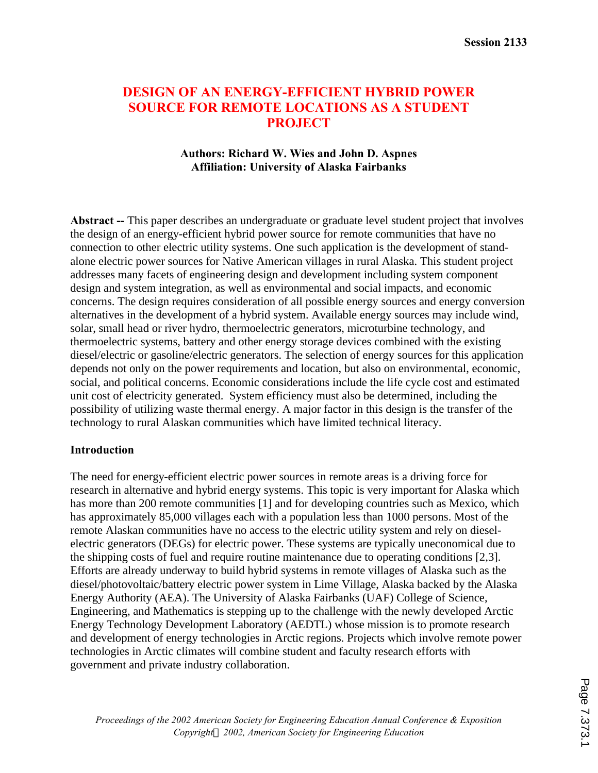# **DESIGN OF AN ENERGY-EFFICIENT HYBRID POWER SOURCE FOR REMOTE LOCATIONS AS A STUDENT PROJECT**

#### **Authors: Richard W. Wies and John D. Aspnes Affiliation: University of Alaska Fairbanks**

**Abstract --** This paper describes an undergraduate or graduate level student project that involves the design of an energy-efficient hybrid power source for remote communities that have no connection to other electric utility systems. One such application is the development of standalone electric power sources for Native American villages in rural Alaska. This student project addresses many facets of engineering design and development including system component design and system integration, as well as environmental and social impacts, and economic concerns. The design requires consideration of all possible energy sources and energy conversion alternatives in the development of a hybrid system. Available energy sources may include wind, solar, small head or river hydro, thermoelectric generators, microturbine technology, and thermoelectric systems, battery and other energy storage devices combined with the existing diesel/electric or gasoline/electric generators. The selection of energy sources for this application depends not only on the power requirements and location, but also on environmental, economic, social, and political concerns. Economic considerations include the life cycle cost and estimated unit cost of electricity generated. System efficiency must also be determined, including the possibility of utilizing waste thermal energy. A major factor in this design is the transfer of the technology to rural Alaskan communities which have limited technical literacy.

#### **Introduction**

The need for energy-efficient electric power sources in remote areas is a driving force for research in alternative and hybrid energy systems. This topic is very important for Alaska which has more than 200 remote communities [1] and for developing countries such as Mexico, which has approximately 85,000 villages each with a population less than 1000 persons. Most of the remote Alaskan communities have no access to the electric utility system and rely on dieselelectric generators (DEGs) for electric power. These systems are typically uneconomical due to the shipping costs of fuel and require routine maintenance due to operating conditions [2,3]. Efforts are already underway to build hybrid systems in remote villages of Alaska such as the diesel/photovoltaic/battery electric power system in Lime Village, Alaska backed by the Alaska Energy Authority (AEA). The University of Alaska Fairbanks (UAF) College of Science, Engineering, and Mathematics is stepping up to the challenge with the newly developed Arctic Energy Technology Development Laboratory (AEDTL) whose mission is to promote research and development of energy technologies in Arctic regions. Projects which involve remote power technologies in Arctic climates will combine student and faculty research efforts with government and private industry collaboration.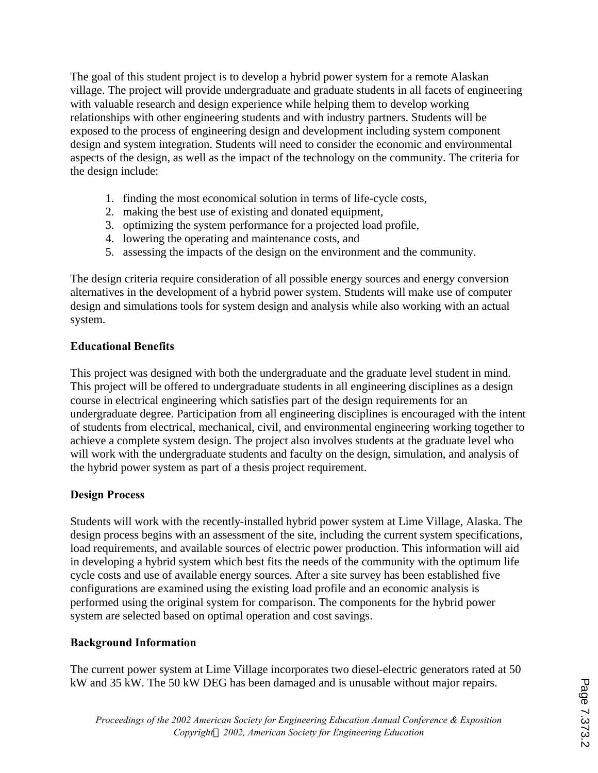The goal of this student project is to develop a hybrid power system for a remote Alaskan village. The project will provide undergraduate and graduate students in all facets of engineering with valuable research and design experience while helping them to develop working relationships with other engineering students and with industry partners. Students will be exposed to the process of engineering design and development including system component design and system integration. Students will need to consider the economic and environmental aspects of the design, as well as the impact of the technology on the community. The criteria for the design include:

- 1. finding the most economical solution in terms of life-cycle costs,
- 2. making the best use of existing and donated equipment,
- 3. optimizing the system performance for a projected load profile,
- 4. lowering the operating and maintenance costs, and
- 5. assessing the impacts of the design on the environment and the community.

The design criteria require consideration of all possible energy sources and energy conversion alternatives in the development of a hybrid power system. Students will make use of computer design and simulations tools for system design and analysis while also working with an actual system.

## **Educational Benefits**

This project was designed with both the undergraduate and the graduate level student in mind. This project will be offered to undergraduate students in all engineering disciplines as a design course in electrical engineering which satisfies part of the design requirements for an undergraduate degree. Participation from all engineering disciplines is encouraged with the intent of students from electrical, mechanical, civil, and environmental engineering working together to achieve a complete system design. The project also involves students at the graduate level who will work with the undergraduate students and faculty on the design, simulation, and analysis of the hybrid power system as part of a thesis project requirement.

### **Design Process**

Students will work with the recently-installed hybrid power system at Lime Village, Alaska. The design process begins with an assessment of the site, including the current system specifications, load requirements, and available sources of electric power production. This information will aid in developing a hybrid system which best fits the needs of the community with the optimum life cycle costs and use of available energy sources. After a site survey has been established five configurations are examined using the existing load profile and an economic analysis is performed using the original system for comparison. The components for the hybrid power system are selected based on optimal operation and cost savings.

### **Background Information**

The current power system at Lime Village incorporates two diesel-electric generators rated at 50 kW and 35 kW. The 50 kW DEG has been damaged and is unusable without major repairs.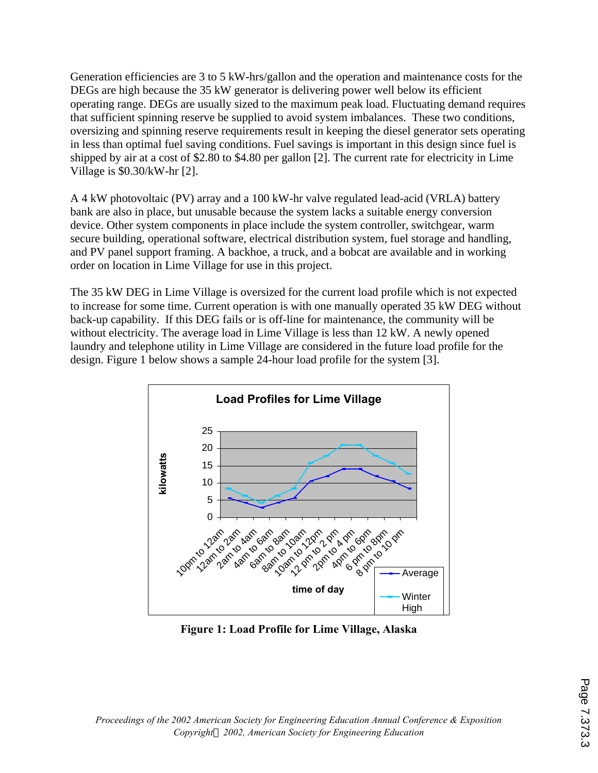Generation efficiencies are 3 to 5 kW-hrs/gallon and the operation and maintenance costs for the DEGs are high because the 35 kW generator is delivering power well below its efficient operating range. DEGs are usually sized to the maximum peak load. Fluctuating demand requires that sufficient spinning reserve be supplied to avoid system imbalances. These two conditions, oversizing and spinning reserve requirements result in keeping the diesel generator sets operating in less than optimal fuel saving conditions. Fuel savings is important in this design since fuel is shipped by air at a cost of \$2.80 to \$4.80 per gallon [2]. The current rate for electricity in Lime Village is \$0.30/kW-hr [2].

A 4 kW photovoltaic (PV) array and a 100 kW-hr valve regulated lead-acid (VRLA) battery bank are also in place, but unusable because the system lacks a suitable energy conversion device. Other system components in place include the system controller, switchgear, warm secure building, operational software, electrical distribution system, fuel storage and handling, and PV panel support framing. A backhoe, a truck, and a bobcat are available and in working order on location in Lime Village for use in this project.

The 35 kW DEG in Lime Village is oversized for the current load profile which is not expected to increase for some time. Current operation is with one manually operated 35 kW DEG without back-up capability. If this DEG fails or is off-line for maintenance, the community will be without electricity. The average load in Lime Village is less than 12 kW. A newly opened laundry and telephone utility in Lime Village are considered in the future load profile for the design. Figure 1 below shows a sample 24-hour load profile for the system [3].



**Figure 1: Load Profile for Lime Village, Alaska**

*Proceedings of the 2002 American Society for Engineering Education Annual Conference & Exposition Copyrightã 2002, American Society for Engineering Education*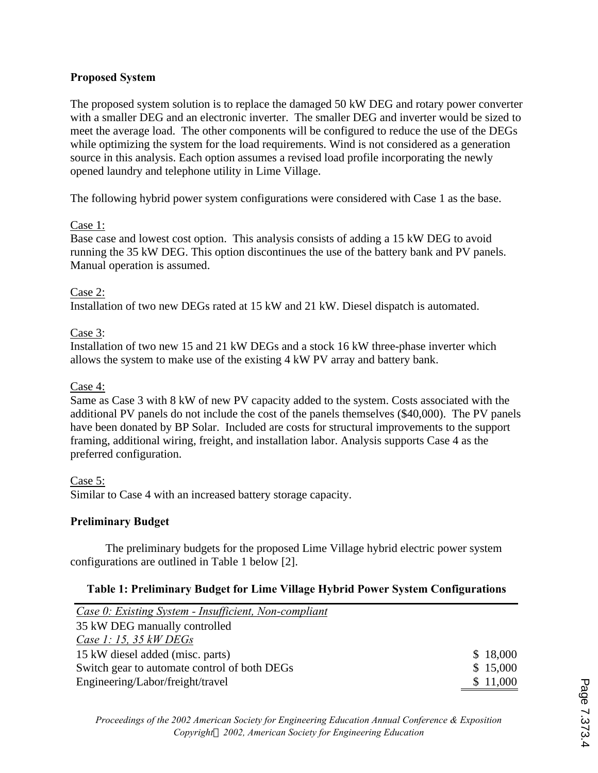## **Proposed System**

The proposed system solution is to replace the damaged 50 kW DEG and rotary power converter with a smaller DEG and an electronic inverter. The smaller DEG and inverter would be sized to meet the average load. The other components will be configured to reduce the use of the DEGs while optimizing the system for the load requirements. Wind is not considered as a generation source in this analysis. Each option assumes a revised load profile incorporating the newly opened laundry and telephone utility in Lime Village.

The following hybrid power system configurations were considered with Case 1 as the base.

## Case 1:

Base case and lowest cost option. This analysis consists of adding a 15 kW DEG to avoid running the 35 kW DEG. This option discontinues the use of the battery bank and PV panels. Manual operation is assumed.

## Case 2:

Installation of two new DEGs rated at 15 kW and 21 kW. Diesel dispatch is automated.

## Case 3:

Installation of two new 15 and 21 kW DEGs and a stock 16 kW three-phase inverter which allows the system to make use of the existing 4 kW PV array and battery bank.

## Case 4:

Same as Case 3 with 8 kW of new PV capacity added to the system. Costs associated with the additional PV panels do not include the cost of the panels themselves (\$40,000). The PV panels have been donated by BP Solar. Included are costs for structural improvements to the support framing, additional wiring, freight, and installation labor. Analysis supports Case 4 as the preferred configuration.

## Case 5:

Similar to Case 4 with an increased battery storage capacity.

### **Preliminary Budget**

The preliminary budgets for the proposed Lime Village hybrid electric power system configurations are outlined in Table 1 below [2].

### **Table 1: Preliminary Budget for Lime Village Hybrid Power System Configurations**

| Case 0: Existing System - Insufficient, Non-compliant |          |
|-------------------------------------------------------|----------|
| 35 kW DEG manually controlled                         |          |
| Case 1: 15, 35 $kW$ DEGs                              |          |
| 15 kW diesel added (misc. parts)                      | \$18,000 |
| Switch gear to automate control of both DEGs          | \$15,000 |
| Engineering/Labor/freight/travel                      | \$11,000 |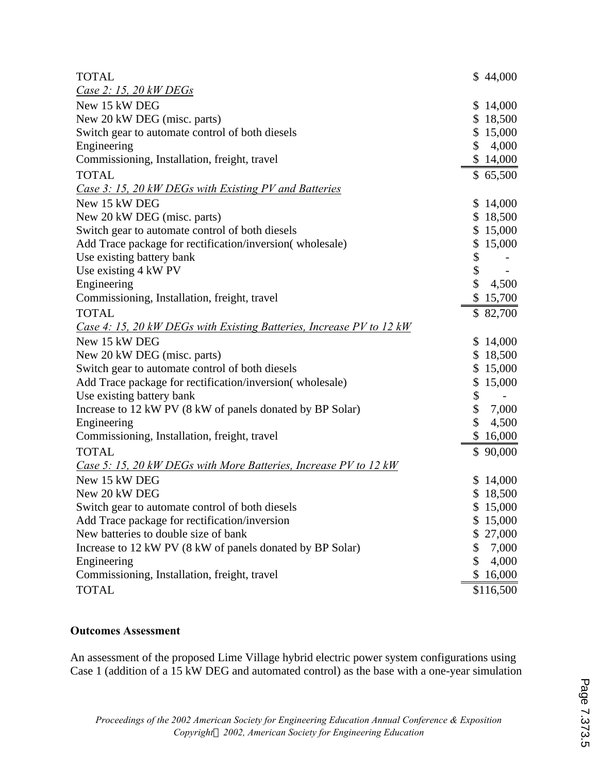| <b>TOTAL</b>                                                         | \$44,000     |
|----------------------------------------------------------------------|--------------|
| <u>Case 2: 15, 20 kW DEGs</u>                                        |              |
| New 15 kW DEG                                                        | \$14,000     |
| New 20 kW DEG (misc. parts)                                          | \$18,500     |
| Switch gear to automate control of both diesels                      | \$15,000     |
| Engineering                                                          | \$4,000      |
| Commissioning, Installation, freight, travel                         | \$14,000     |
| <b>TOTAL</b>                                                         | \$65,500     |
| Case 3: 15, 20 kW DEGs with Existing PV and Batteries                |              |
| New 15 kW DEG                                                        | \$14,000     |
| New 20 kW DEG (misc. parts)                                          | \$18,500     |
| Switch gear to automate control of both diesels                      | \$15,000     |
| Add Trace package for rectification/inversion(wholesale)             | \$15,000     |
| Use existing battery bank                                            | \$           |
| Use existing 4 kW PV                                                 | \$<br>$\sim$ |
| Engineering                                                          | \$<br>4,500  |
| Commissioning, Installation, freight, travel                         | \$15,700     |
| <b>TOTAL</b>                                                         | \$82,700     |
| Case 4: 15, 20 kW DEGs with Existing Batteries, Increase PV to 12 kW |              |
| New 15 kW DEG                                                        | \$14,000     |
| New 20 kW DEG (misc. parts)                                          | \$18,500     |
| Switch gear to automate control of both diesels                      | \$15,000     |
| Add Trace package for rectification/inversion(wholesale)             | \$15,000     |
| Use existing battery bank                                            | \$           |
| Increase to 12 kW PV (8 kW of panels donated by BP Solar)            | \$<br>7,000  |
| Engineering                                                          | \$<br>4,500  |
| Commissioning, Installation, freight, travel                         | \$16,000     |
| <b>TOTAL</b>                                                         | \$90,000     |
| Case 5: 15, 20 kW DEGs with More Batteries, Increase PV to 12 kW     |              |
| New 15 kW DEG                                                        | \$14,000     |
| New 20 kW DEG                                                        | \$18,500     |
| Switch gear to automate control of both diesels                      | \$15,000     |
| Add Trace package for rectification/inversion                        | \$15,000     |
| New batteries to double size of bank                                 | \$27,000     |
| Increase to 12 kW PV (8 kW of panels donated by BP Solar)            | \$<br>7,000  |
| Engineering                                                          | \$<br>4,000  |
| Commissioning, Installation, freight, travel                         | \$16,000     |
| <b>TOTAL</b>                                                         | \$116,500    |

## **Outcomes Assessment**

An assessment of the proposed Lime Village hybrid electric power system configurations using Case 1 (addition of a 15 kW DEG and automated control) as the base with a one-year simulation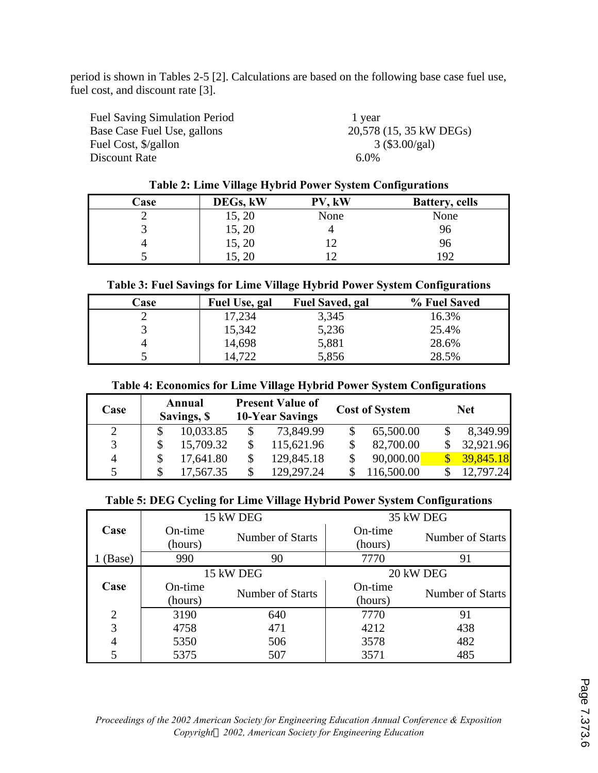period is shown in Tables 2-5 [2]. Calculations are based on the following base case fuel use, fuel cost, and discount rate [3].

| <b>Fuel Saving Simulation Period</b> | 1 year                  |
|--------------------------------------|-------------------------|
| Base Case Fuel Use, gallons          | 20,578 (15, 35 kW DEGs) |
| Fuel Cost, \$/gallon                 | $3 (\$3.00/gal)$        |
| Discount Rate                        | $6.0\%$                 |
|                                      |                         |

### **Table 2: Lime Village Hybrid Power System Configurations**

| Case | DEGs, kW | PV, kW | <b>Battery, cells</b> |
|------|----------|--------|-----------------------|
|      | 15, 20   | None   | None                  |
|      | 15, 20   |        | 96                    |
|      | 15, 20   |        | ሃዕ                    |
|      | 15, 20   |        | 192                   |

#### **Table 3: Fuel Savings for Lime Village Hybrid Power System Configurations**

| <b>Case</b> | Fuel Use, gal | <b>Fuel Saved, gal</b> | % Fuel Saved |
|-------------|---------------|------------------------|--------------|
|             | 17,234        | 3,345                  | 16.3%        |
|             | 15,342        | 5,236                  | 25.4%        |
|             | 14,698        | 5,881                  | 28.6%        |
|             | 14,722        | 5,856                  | 28.5%        |

#### **Table 4: Economics for Lime Village Hybrid Power System Configurations**

| Case           | Annual<br>Savings, \$ | <b>Present Value of</b><br><b>10-Year Savings</b> | <b>Cost of System</b> | <b>Net</b> |
|----------------|-----------------------|---------------------------------------------------|-----------------------|------------|
| 2              | 10,033.85             | 73,849.99                                         | 65,500.00             | 8,349.99   |
| 3              | 15,709.32             | 115,621.96                                        | 82,700.00             | 32,921.96  |
| $\overline{4}$ | 17,641.80             | 129,845.18                                        | 90,000.00             | 39,845.18  |
| 5              | 17,567.35             | 129,297.24                                        | 116,500.00            | 12.797.24  |

## **Table 5: DEG Cycling for Lime Village Hybrid Power System Configurations**

|                |                    | 15 kW DEG        | 35 kW DEG          |                         |  |
|----------------|--------------------|------------------|--------------------|-------------------------|--|
| Case           | On-time<br>(hours) | Number of Starts | On-time<br>(hours) | <b>Number of Starts</b> |  |
| (Base)         | 990                | 90               | 7770               | 91                      |  |
|                |                    | 15 kW DEG        | 20 kW DEG          |                         |  |
| Case           | On-time            | Number of Starts | On-time            | <b>Number of Starts</b> |  |
|                | (hours)            |                  | (hours)            |                         |  |
| $\overline{2}$ | 3190               | 640              | 7770               | 91                      |  |
| 3              | 4758               | 471              | 4212               | 438                     |  |
| $\overline{4}$ | 5350               | 506              | 3578               | 482                     |  |
| 5              | 5375               | 507              | 3571               | 485                     |  |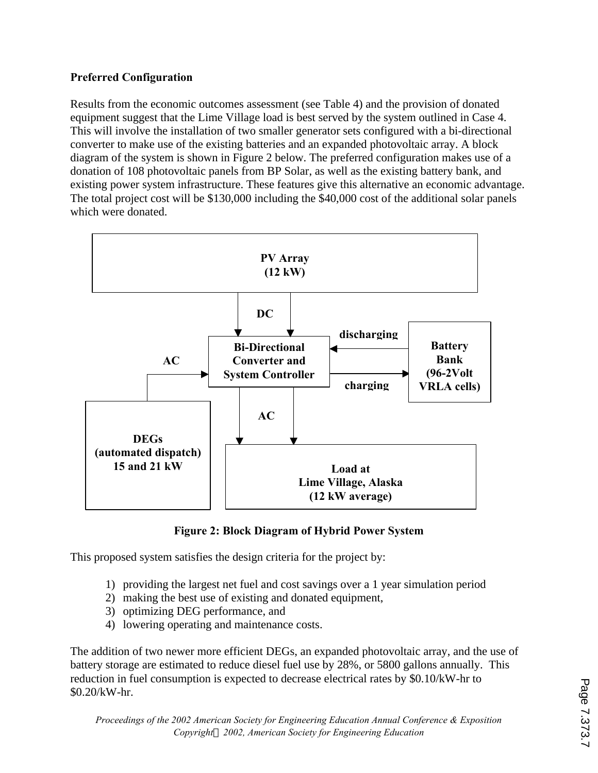## **Preferred Configuration**

Results from the economic outcomes assessment (see Table 4) and the provision of donated equipment suggest that the Lime Village load is best served by the system outlined in Case 4. This will involve the installation of two smaller generator sets configured with a bi-directional converter to make use of the existing batteries and an expanded photovoltaic array. A block diagram of the system is shown in Figure 2 below. The preferred configuration makes use of a donation of 108 photovoltaic panels from BP Solar, as well as the existing battery bank, and existing power system infrastructure. These features give this alternative an economic advantage. The total project cost will be \$130,000 including the \$40,000 cost of the additional solar panels which were donated.



**Figure 2: Block Diagram of Hybrid Power System**

This proposed system satisfies the design criteria for the project by:

- 1) providing the largest net fuel and cost savings over a 1 year simulation period
- 2) making the best use of existing and donated equipment,
- 3) optimizing DEG performance, and
- 4) lowering operating and maintenance costs.

The addition of two newer more efficient DEGs, an expanded photovoltaic array, and the use of battery storage are estimated to reduce diesel fuel use by 28%, or 5800 gallons annually. This reduction in fuel consumption is expected to decrease electrical rates by \$0.10/kW-hr to \$0.20/kW-hr.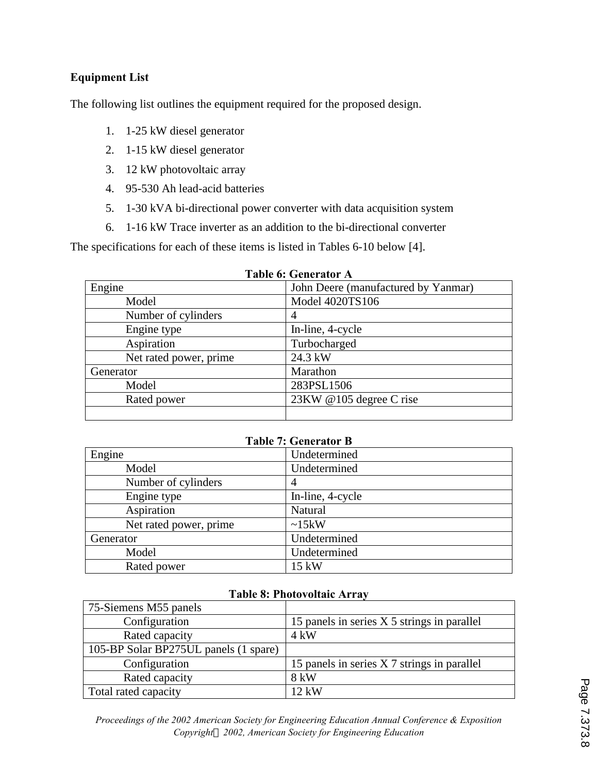## **Equipment List**

The following list outlines the equipment required for the proposed design.

- 1. 1-25 kW diesel generator
- 2. 1-15 kW diesel generator
- 3. 12 kW photovoltaic array
- 4. 95-530 Ah lead-acid batteries
- 5. 1-30 kVA bi-directional power converter with data acquisition system
- 6. 1-16 kW Trace inverter as an addition to the bi-directional converter

The specifications for each of these items is listed in Tables 6-10 below [4].

| Engine                 | John Deere (manufactured by Yanmar) |
|------------------------|-------------------------------------|
| Model                  | Model 4020TS106                     |
| Number of cylinders    | 4                                   |
| Engine type            | In-line, 4-cycle                    |
| Aspiration             | Turbocharged                        |
| Net rated power, prime | 24.3 kW                             |
| Generator              | Marathon                            |
| Model                  | 283PSL1506                          |
| Rated power            | 23KW @105 degree C rise             |
|                        |                                     |

| Table 6: Generator A |
|----------------------|
|----------------------|

| <b>Table 7: Generator B</b> |                  |  |
|-----------------------------|------------------|--|
| Engine                      | Undetermined     |  |
| Model                       | Undetermined     |  |
| Number of cylinders         | 4                |  |
| Engine type                 | In-line, 4-cycle |  |
| Aspiration                  | Natural          |  |
| Net rated power, prime      | $\sim15kW$       |  |
| Generator                   | Undetermined     |  |
| Model                       | Undetermined     |  |
| Rated power                 | 15 kW            |  |

#### **Table 8: Photovoltaic Array**

| 75-Siemens M55 panels                 |                                             |
|---------------------------------------|---------------------------------------------|
| Configuration                         | 15 panels in series X 5 strings in parallel |
| Rated capacity                        | $4 \text{ kW}$                              |
| 105-BP Solar BP275UL panels (1 spare) |                                             |
| Configuration                         | 15 panels in series X 7 strings in parallel |
| Rated capacity                        | 8 kW                                        |
| Total rated capacity                  | $12 \text{ kW}$                             |

*Proceedings of the 2002 American Society for Engineering Education Annual Conference & Exposition Copyrightã 2002, American Society for Engineering Education*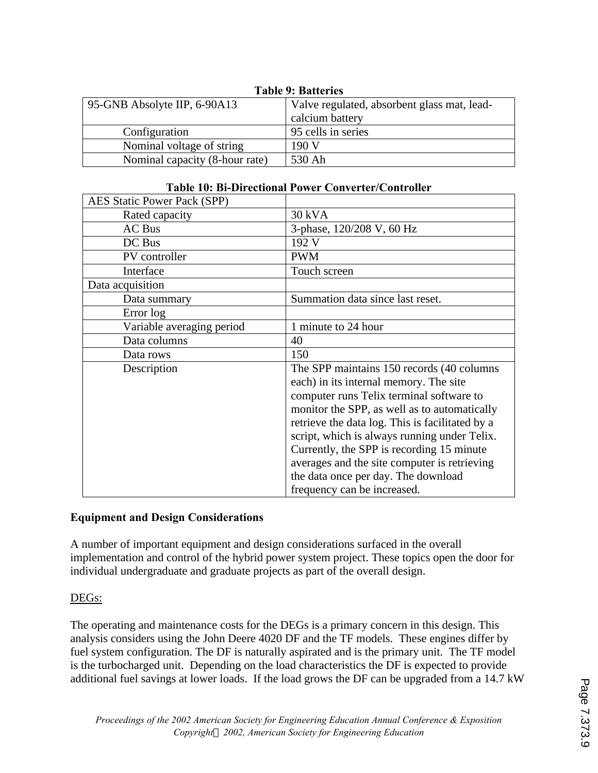| 1 avit 7. Datiti its           |                                             |  |
|--------------------------------|---------------------------------------------|--|
| 95-GNB Absolyte IIP, 6-90A13   | Valve regulated, absorbent glass mat, lead- |  |
|                                | calcium battery                             |  |
| Configuration                  | 95 cells in series                          |  |
| Nominal voltage of string      | 190V                                        |  |
| Nominal capacity (8-hour rate) | 530 Ah                                      |  |

## **Table 9: Batteries**

#### **Table 10: Bi-Directional Power Converter/Controller**

| <b>AES Static Power Pack (SPP)</b> |                                                 |
|------------------------------------|-------------------------------------------------|
| Rated capacity                     | 30 kVA                                          |
| AC Bus                             | 3-phase, 120/208 V, 60 Hz                       |
| DC Bus                             | 192 V                                           |
| PV controller                      | <b>PWM</b>                                      |
| Interface                          | Touch screen                                    |
| Data acquisition                   |                                                 |
| Data summary                       | Summation data since last reset.                |
| Error log                          |                                                 |
| Variable averaging period          | 1 minute to 24 hour                             |
| Data columns                       | 40                                              |
| Data rows                          | 150                                             |
| Description                        | The SPP maintains 150 records (40 columns)      |
|                                    | each) in its internal memory. The site          |
|                                    | computer runs Telix terminal software to        |
|                                    | monitor the SPP, as well as to automatically    |
|                                    | retrieve the data log. This is facilitated by a |
|                                    | script, which is always running under Telix.    |
|                                    | Currently, the SPP is recording 15 minute       |
|                                    | averages and the site computer is retrieving    |
|                                    | the data once per day. The download             |
|                                    | frequency can be increased.                     |

### **Equipment and Design Considerations**

A number of important equipment and design considerations surfaced in the overall implementation and control of the hybrid power system project. These topics open the door for individual undergraduate and graduate projects as part of the overall design.

#### DEGs:

The operating and maintenance costs for the DEGs is a primary concern in this design. This analysis considers using the John Deere 4020 DF and the TF models. These engines differ by fuel system configuration. The DF is naturally aspirated and is the primary unit. The TF model is the turbocharged unit. Depending on the load characteristics the DF is expected to provide additional fuel savings at lower loads. If the load grows the DF can be upgraded from a 14.7 kW

٦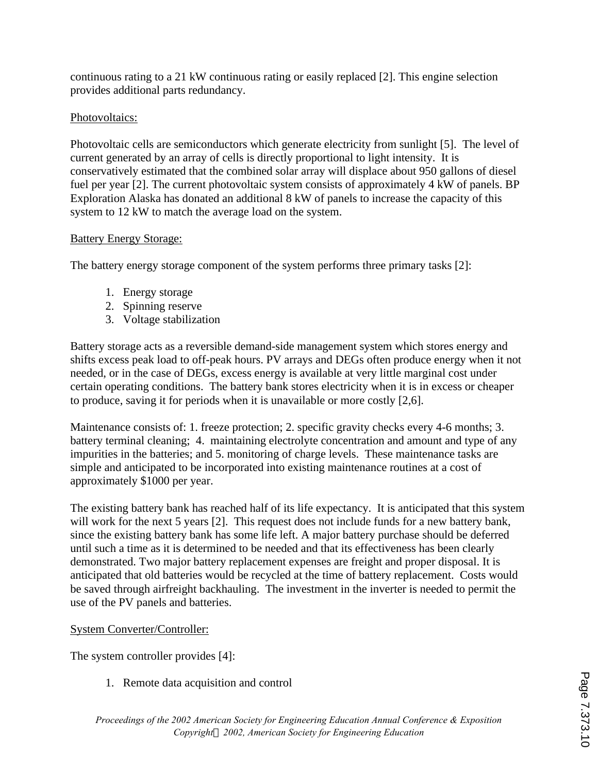continuous rating to a 21 kW continuous rating or easily replaced [2]. This engine selection provides additional parts redundancy.

## Photovoltaics:

Photovoltaic cells are semiconductors which generate electricity from sunlight [5]. The level of current generated by an array of cells is directly proportional to light intensity. It is conservatively estimated that the combined solar array will displace about 950 gallons of diesel fuel per year [2]. The current photovoltaic system consists of approximately 4 kW of panels. BP Exploration Alaska has donated an additional 8 kW of panels to increase the capacity of this system to 12 kW to match the average load on the system.

## Battery Energy Storage:

The battery energy storage component of the system performs three primary tasks [2]:

- 1. Energy storage
- 2. Spinning reserve
- 3. Voltage stabilization

Battery storage acts as a reversible demand-side management system which stores energy and shifts excess peak load to off-peak hours. PV arrays and DEGs often produce energy when it not needed, or in the case of DEGs, excess energy is available at very little marginal cost under certain operating conditions. The battery bank stores electricity when it is in excess or cheaper to produce, saving it for periods when it is unavailable or more costly [2,6].

Maintenance consists of: 1. freeze protection; 2. specific gravity checks every 4-6 months; 3. battery terminal cleaning; 4. maintaining electrolyte concentration and amount and type of any impurities in the batteries; and 5. monitoring of charge levels. These maintenance tasks are simple and anticipated to be incorporated into existing maintenance routines at a cost of approximately \$1000 per year.

The existing battery bank has reached half of its life expectancy. It is anticipated that this system will work for the next 5 years [2]. This request does not include funds for a new battery bank, since the existing battery bank has some life left. A major battery purchase should be deferred until such a time as it is determined to be needed and that its effectiveness has been clearly demonstrated. Two major battery replacement expenses are freight and proper disposal. It is anticipated that old batteries would be recycled at the time of battery replacement. Costs would be saved through airfreight backhauling. The investment in the inverter is needed to permit the use of the PV panels and batteries.

## System Converter/Controller:

The system controller provides [4]:

1. Remote data acquisition and control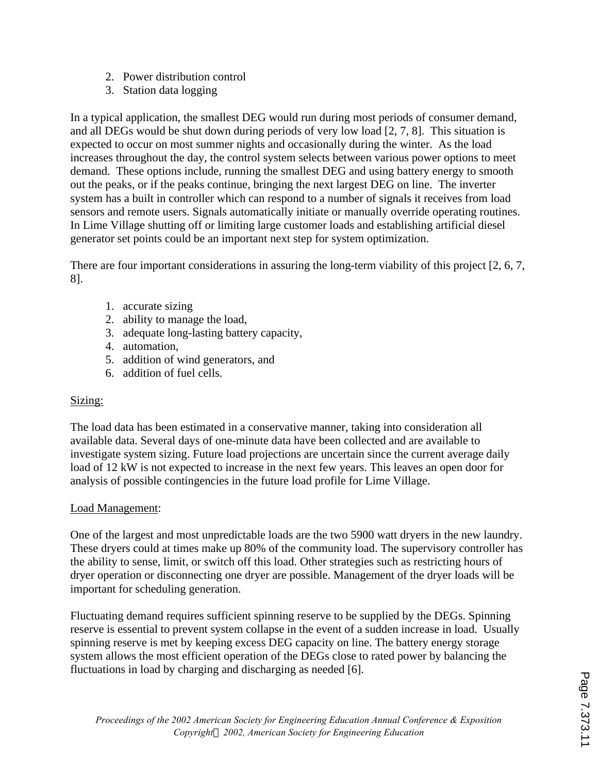- 2. Power distribution control
- 3. Station data logging

In a typical application, the smallest DEG would run during most periods of consumer demand, and all DEGs would be shut down during periods of very low load [2, 7, 8]. This situation is expected to occur on most summer nights and occasionally during the winter. As the load increases throughout the day, the control system selects between various power options to meet demand. These options include, running the smallest DEG and using battery energy to smooth out the peaks, or if the peaks continue, bringing the next largest DEG on line. The inverter system has a built in controller which can respond to a number of signals it receives from load sensors and remote users. Signals automatically initiate or manually override operating routines. In Lime Village shutting off or limiting large customer loads and establishing artificial diesel generator set points could be an important next step for system optimization.

There are four important considerations in assuring the long-term viability of this project [2, 6, 7, 8].

- 1. accurate sizing
- 2. ability to manage the load,
- 3. adequate long-lasting battery capacity,
- 4. automation,
- 5. addition of wind generators, and
- 6. addition of fuel cells.

## Sizing:

The load data has been estimated in a conservative manner, taking into consideration all available data. Several days of one-minute data have been collected and are available to investigate system sizing. Future load projections are uncertain since the current average daily load of 12 kW is not expected to increase in the next few years. This leaves an open door for analysis of possible contingencies in the future load profile for Lime Village.

### Load Management:

One of the largest and most unpredictable loads are the two 5900 watt dryers in the new laundry. These dryers could at times make up 80% of the community load. The supervisory controller has the ability to sense, limit, or switch off this load. Other strategies such as restricting hours of dryer operation or disconnecting one dryer are possible. Management of the dryer loads will be important for scheduling generation.

Fluctuating demand requires sufficient spinning reserve to be supplied by the DEGs. Spinning reserve is essential to prevent system collapse in the event of a sudden increase in load. Usually spinning reserve is met by keeping excess DEG capacity on line. The battery energy storage system allows the most efficient operation of the DEGs close to rated power by balancing the fluctuations in load by charging and discharging as needed [6].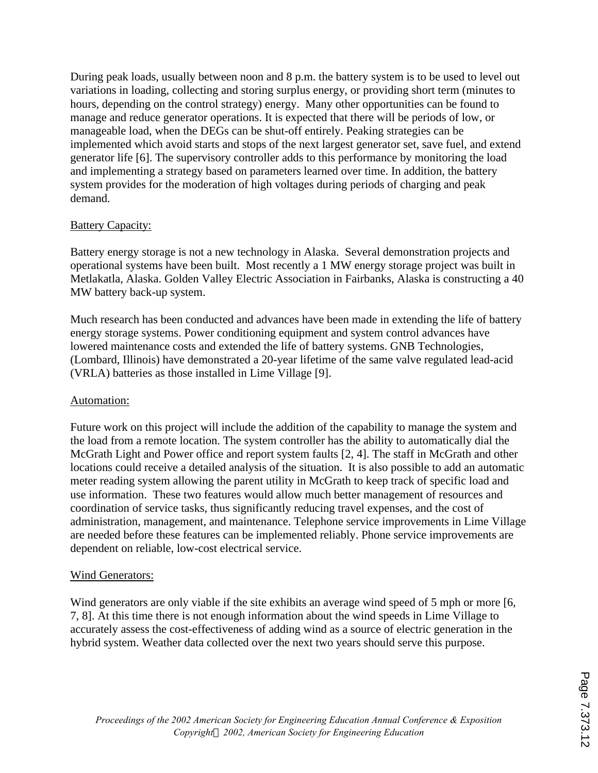During peak loads, usually between noon and 8 p.m. the battery system is to be used to level out variations in loading, collecting and storing surplus energy, or providing short term (minutes to hours, depending on the control strategy) energy. Many other opportunities can be found to manage and reduce generator operations. It is expected that there will be periods of low, or manageable load, when the DEGs can be shut-off entirely. Peaking strategies can be implemented which avoid starts and stops of the next largest generator set, save fuel, and extend generator life [6]. The supervisory controller adds to this performance by monitoring the load and implementing a strategy based on parameters learned over time. In addition, the battery system provides for the moderation of high voltages during periods of charging and peak demand.

#### **Battery Capacity:**

Battery energy storage is not a new technology in Alaska. Several demonstration projects and operational systems have been built. Most recently a 1 MW energy storage project was built in Metlakatla, Alaska. Golden Valley Electric Association in Fairbanks, Alaska is constructing a 40 MW battery back-up system.

Much research has been conducted and advances have been made in extending the life of battery energy storage systems. Power conditioning equipment and system control advances have lowered maintenance costs and extended the life of battery systems. GNB Technologies, (Lombard, Illinois) have demonstrated a 20-year lifetime of the same valve regulated lead-acid (VRLA) batteries as those installed in Lime Village [9].

#### Automation:

Future work on this project will include the addition of the capability to manage the system and the load from a remote location. The system controller has the ability to automatically dial the McGrath Light and Power office and report system faults [2, 4]. The staff in McGrath and other locations could receive a detailed analysis of the situation. It is also possible to add an automatic meter reading system allowing the parent utility in McGrath to keep track of specific load and use information. These two features would allow much better management of resources and coordination of service tasks, thus significantly reducing travel expenses, and the cost of administration, management, and maintenance. Telephone service improvements in Lime Village are needed before these features can be implemented reliably. Phone service improvements are dependent on reliable, low-cost electrical service.

### Wind Generators:

Wind generators are only viable if the site exhibits an average wind speed of 5 mph or more [6, 7, 8]. At this time there is not enough information about the wind speeds in Lime Village to accurately assess the cost-effectiveness of adding wind as a source of electric generation in the hybrid system. Weather data collected over the next two years should serve this purpose.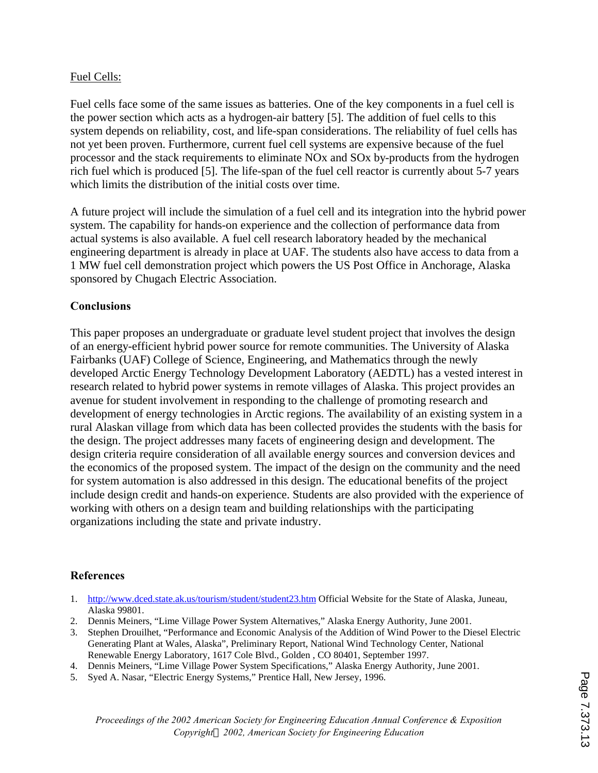#### Fuel Cells:

Fuel cells face some of the same issues as batteries. One of the key components in a fuel cell is the power section which acts as a hydrogen-air battery [5]. The addition of fuel cells to this system depends on reliability, cost, and life-span considerations. The reliability of fuel cells has not yet been proven. Furthermore, current fuel cell systems are expensive because of the fuel processor and the stack requirements to eliminate NOx and SOx by-products from the hydrogen rich fuel which is produced [5]. The life-span of the fuel cell reactor is currently about 5-7 years which limits the distribution of the initial costs over time.

A future project will include the simulation of a fuel cell and its integration into the hybrid power system. The capability for hands-on experience and the collection of performance data from actual systems is also available. A fuel cell research laboratory headed by the mechanical engineering department is already in place at UAF. The students also have access to data from a 1 MW fuel cell demonstration project which powers the US Post Office in Anchorage, Alaska sponsored by Chugach Electric Association.

### **Conclusions**

This paper proposes an undergraduate or graduate level student project that involves the design of an energy-efficient hybrid power source for remote communities. The University of Alaska Fairbanks (UAF) College of Science, Engineering, and Mathematics through the newly developed Arctic Energy Technology Development Laboratory (AEDTL) has a vested interest in research related to hybrid power systems in remote villages of Alaska. This project provides an avenue for student involvement in responding to the challenge of promoting research and development of energy technologies in Arctic regions. The availability of an existing system in a rural Alaskan village from which data has been collected provides the students with the basis for the design. The project addresses many facets of engineering design and development. The design criteria require consideration of all available energy sources and conversion devices and the economics of the proposed system. The impact of the design on the community and the need for system automation is also addressed in this design. The educational benefits of the project include design credit and hands-on experience. Students are also provided with the experience of working with others on a design team and building relationships with the participating organizations including the state and private industry.

#### **References**

- 1. http://www.dced.state.ak.us/tourism/student/student23.htm Official Website for the State of Alaska, Juneau, Alaska 99801.
- 2. Dennis Meiners, "Lime Village Power System Alternatives," Alaska Energy Authority, June 2001.
- 3. Stephen Drouilhet, "Performance and Economic Analysis of the Addition of Wind Power to the Diesel Electric Generating Plant at Wales, Alaska", Preliminary Report, National Wind Technology Center, National Renewable Energy Laboratory, 1617 Cole Blvd., Golden , CO 80401, September 1997.
- 4. Dennis Meiners, "Lime Village Power System Specifications," Alaska Energy Authority, June 2001.
- 5. Syed A. Nasar, "Electric Energy Systems," Prentice Hall, New Jersey, 1996.